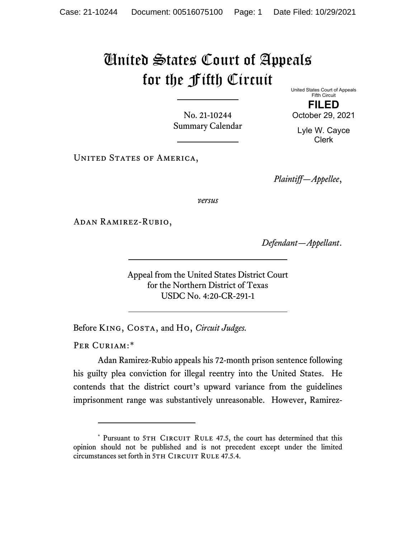## United States Court of Appeals for the Fifth Circuit

No. 21-10244 Summary Calendar United States Court of Appeals Fifth Circuit **FILED**

October 29, 2021

Lyle W. Cayce Clerk

UNITED STATES OF AMERICA,

*Plaintiff—Appellee*,

*versus*

Adan Ramirez-Rubio,

*Defendant—Appellant*.

Appeal from the United States District Court for the Northern District of Texas USDC No. 4:20-CR-291-1

Before King, Costa, and Ho, *Circuit Judges.*

PER CURIAM:[\\*](#page-0-0)

Adan Ramirez-Rubio appeals his 72-month prison sentence following his guilty plea conviction for illegal reentry into the United States. He contends that the district court's upward variance from the guidelines imprisonment range was substantively unreasonable. However, Ramirez-

<span id="page-0-0"></span><sup>\*</sup> Pursuant to 5TH CIRCUIT RULE 47.5, the court has determined that this opinion should not be published and is not precedent except under the limited circumstances set forth in 5TH CIRCUIT RULE 47.5.4.